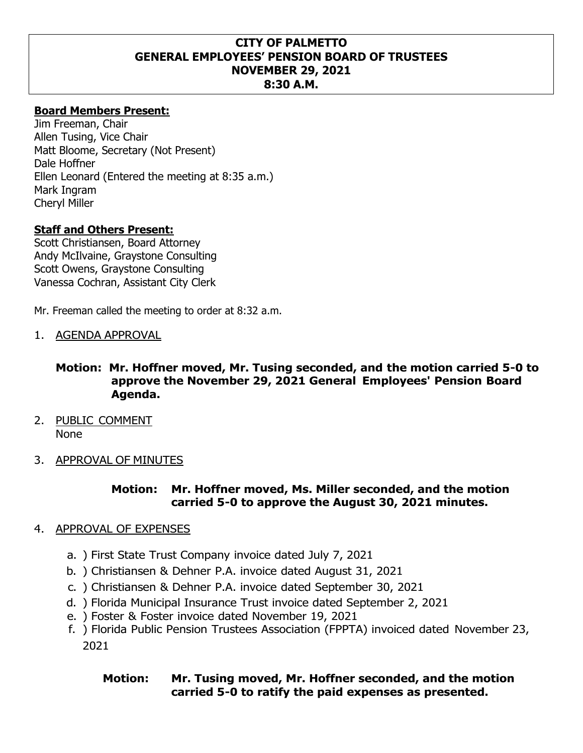#### **CITY OF PALMETTO GENERAL EMPLOYEES' PENSION BOARD OF TRUSTEES NOVEMBER 29, 2021 8:30 A.M.**

### **Board Members Present:**

Jim Freeman, Chair Allen Tusing, Vice Chair Matt Bloome, Secretary (Not Present) Dale Hoffner Ellen Leonard (Entered the meeting at 8:35 a.m.) Mark Ingram Cheryl Miller

### **Staff and Others Present:**

Scott Christiansen, Board Attorney Andy McIlvaine, Graystone Consulting Scott Owens, Graystone Consulting Vanessa Cochran, Assistant City Clerk

Mr. Freeman called the meeting to order at 8:32 a.m.

1. AGENDA APPROVAL

#### **Motion: Mr. Hoffner moved, Mr. Tusing seconded, and the motion carried 5-0 to approve the November 29, 2021 General Employees' Pension Board Agenda.**

- 2. PUBLIC COMMENT None
- 3. APPROVAL OF MINUTES

### **Motion: Mr. Hoffner moved, Ms. Miller seconded, and the motion carried 5-0 to approve the August 30, 2021 minutes.**

#### 4. APPROVAL OF EXPENSES

- a. ) First State Trust Company invoice dated July 7, 2021
- b. ) Christiansen & Dehner P.A. invoice dated August 31, 2021
- c. ) Christiansen & Dehner P.A. invoice dated September 30, 2021
- d. ) Florida Municipal Insurance Trust invoice dated September 2, 2021
- e. ) Foster & Foster invoice dated November 19, 2021
- f. ) Florida Public Pension Trustees Association (FPPTA) invoiced dated November 23, 2021

## **Motion: Mr. Tusing moved, Mr. Hoffner seconded, and the motion carried 5-0 to ratify the paid expenses as presented.**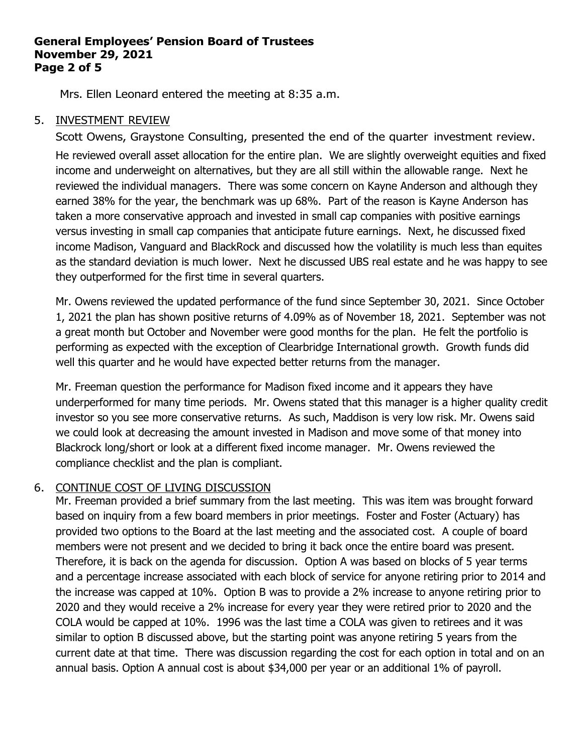#### **General Employees' Pension Board of Trustees November 29, 2021 Page 2 of 5**

Mrs. Ellen Leonard entered the meeting at 8:35 a.m.

## 5. INVESTMENT REVIEW

Scott Owens, Graystone Consulting, presented the end of the quarter investment review. He reviewed overall asset allocation for the entire plan. We are slightly overweight equities and fixed income and underweight on alternatives, but they are all still within the allowable range. Next he reviewed the individual managers. There was some concern on Kayne Anderson and although they earned 38% for the year, the benchmark was up 68%. Part of the reason is Kayne Anderson has taken a more conservative approach and invested in small cap companies with positive earnings versus investing in small cap companies that anticipate future earnings. Next, he discussed fixed income Madison, Vanguard and BlackRock and discussed how the volatility is much less than equites as the standard deviation is much lower. Next he discussed UBS real estate and he was happy to see they outperformed for the first time in several quarters.

Mr. Owens reviewed the updated performance of the fund since September 30, 2021. Since October 1, 2021 the plan has shown positive returns of 4.09% as of November 18, 2021. September was not a great month but October and November were good months for the plan. He felt the portfolio is performing as expected with the exception of Clearbridge International growth. Growth funds did well this quarter and he would have expected better returns from the manager.

Mr. Freeman question the performance for Madison fixed income and it appears they have underperformed for many time periods. Mr. Owens stated that this manager is a higher quality credit investor so you see more conservative returns. As such, Maddison is very low risk. Mr. Owens said we could look at decreasing the amount invested in Madison and move some of that money into Blackrock long/short or look at a different fixed income manager. Mr. Owens reviewed the compliance checklist and the plan is compliant.

# 6. CONTINUE COST OF LIVING DISCUSSION

Mr. Freeman provided a brief summary from the last meeting. This was item was brought forward based on inquiry from a few board members in prior meetings. Foster and Foster (Actuary) has provided two options to the Board at the last meeting and the associated cost. A couple of board members were not present and we decided to bring it back once the entire board was present. Therefore, it is back on the agenda for discussion. Option A was based on blocks of 5 year terms and a percentage increase associated with each block of service for anyone retiring prior to 2014 and the increase was capped at 10%. Option B was to provide a 2% increase to anyone retiring prior to 2020 and they would receive a 2% increase for every year they were retired prior to 2020 and the COLA would be capped at 10%. 1996 was the last time a COLA was given to retirees and it was similar to option B discussed above, but the starting point was anyone retiring 5 years from the current date at that time. There was discussion regarding the cost for each option in total and on an annual basis. Option A annual cost is about \$34,000 per year or an additional 1% of payroll.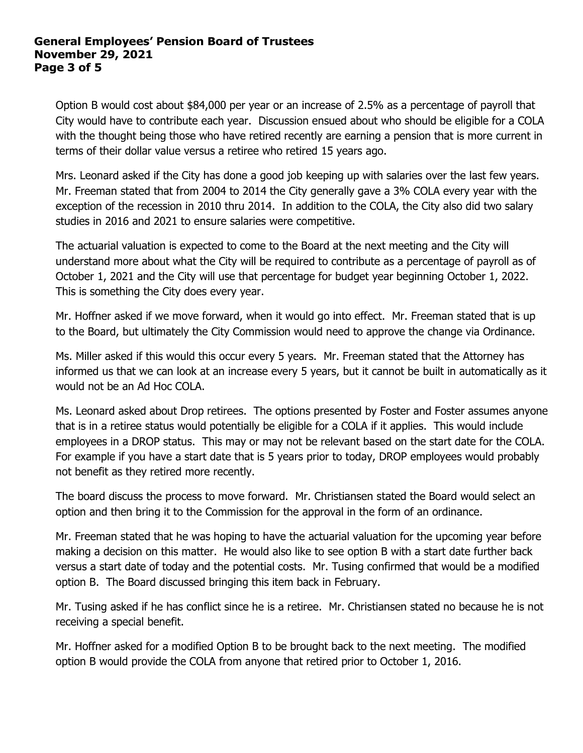#### **General Employees' Pension Board of Trustees November 29, 2021 Page 3 of 5**

Option B would cost about \$84,000 per year or an increase of 2.5% as a percentage of payroll that City would have to contribute each year. Discussion ensued about who should be eligible for a COLA with the thought being those who have retired recently are earning a pension that is more current in terms of their dollar value versus a retiree who retired 15 years ago.

Mrs. Leonard asked if the City has done a good job keeping up with salaries over the last few years. Mr. Freeman stated that from 2004 to 2014 the City generally gave a 3% COLA every year with the exception of the recession in 2010 thru 2014. In addition to the COLA, the City also did two salary studies in 2016 and 2021 to ensure salaries were competitive.

The actuarial valuation is expected to come to the Board at the next meeting and the City will understand more about what the City will be required to contribute as a percentage of payroll as of October 1, 2021 and the City will use that percentage for budget year beginning October 1, 2022. This is something the City does every year.

Mr. Hoffner asked if we move forward, when it would go into effect. Mr. Freeman stated that is up to the Board, but ultimately the City Commission would need to approve the change via Ordinance.

Ms. Miller asked if this would this occur every 5 years. Mr. Freeman stated that the Attorney has informed us that we can look at an increase every 5 years, but it cannot be built in automatically as it would not be an Ad Hoc COLA.

Ms. Leonard asked about Drop retirees. The options presented by Foster and Foster assumes anyone that is in a retiree status would potentially be eligible for a COLA if it applies. This would include employees in a DROP status. This may or may not be relevant based on the start date for the COLA. For example if you have a start date that is 5 years prior to today, DROP employees would probably not benefit as they retired more recently.

The board discuss the process to move forward. Mr. Christiansen stated the Board would select an option and then bring it to the Commission for the approval in the form of an ordinance.

Mr. Freeman stated that he was hoping to have the actuarial valuation for the upcoming year before making a decision on this matter. He would also like to see option B with a start date further back versus a start date of today and the potential costs. Mr. Tusing confirmed that would be a modified option B. The Board discussed bringing this item back in February.

Mr. Tusing asked if he has conflict since he is a retiree. Mr. Christiansen stated no because he is not receiving a special benefit.

Mr. Hoffner asked for a modified Option B to be brought back to the next meeting. The modified option B would provide the COLA from anyone that retired prior to October 1, 2016.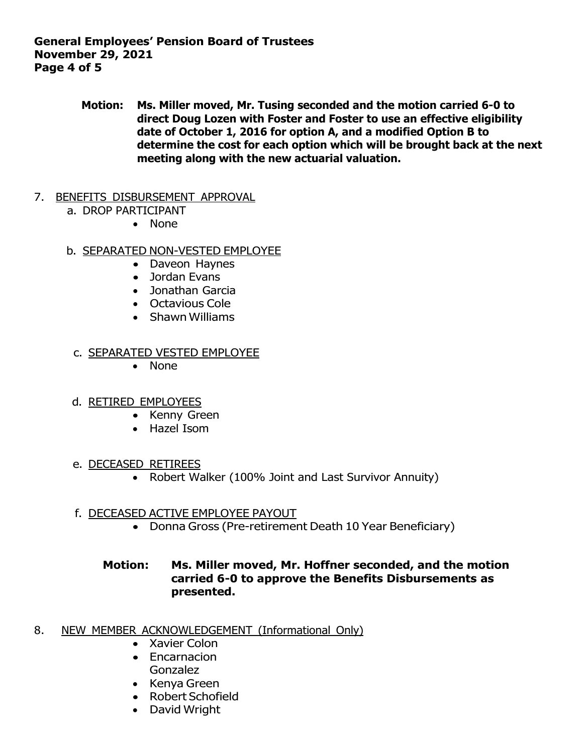**General Employees' Pension Board of Trustees November 29, 2021 Page 4 of 5**

> **Motion: Ms. Miller moved, Mr. Tusing seconded and the motion carried 6-0 to direct Doug Lozen with Foster and Foster to use an effective eligibility date of October 1, 2016 for option A, and a modified Option B to determine the cost for each option which will be brought back at the next meeting along with the new actuarial valuation.**

#### 7. BENEFITS DISBURSEMENT APPROVAL

- a. DROP PARTICIPANT
	- None

### b. SEPARATED NON-VESTED EMPLOYEE

- Daveon Haynes
- Jordan Evans
- Jonathan Garcia
- Octavious Cole
- Shawn Williams

#### c. SEPARATED VESTED EMPLOYEE

• None

### d. RETIRED EMPLOYEES

- Kenny Green
- Hazel Isom
- e. DECEASED RETIREES
	- Robert Walker (100% Joint and Last Survivor Annuity)

### f. DECEASED ACTIVE EMPLOYEE PAYOUT

• Donna Gross (Pre-retirement Death 10 Year Beneficiary)

## **Motion: Ms. Miller moved, Mr. Hoffner seconded, and the motion carried 6-0 to approve the Benefits Disbursements as presented.**

- 8. NEW MEMBER ACKNOWLEDGEMENT (Informational Only)
	- Xavier Colon
	- Encarnacion Gonzalez
	- Kenya Green
	- Robert Schofield
	- David Wright